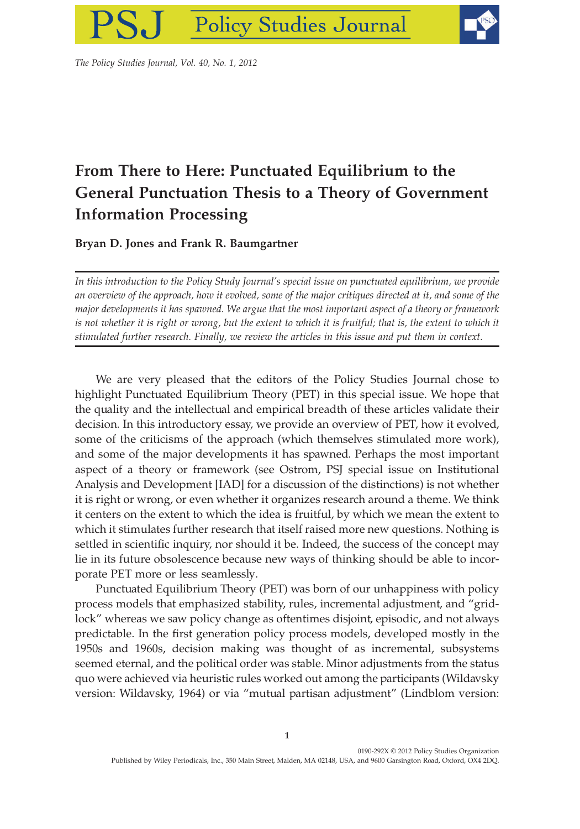

*The Policy Studies Journal, Vol. 40, No. 1, 2012*

# **From There to Here: Punctuated Equilibrium to the General Punctuation Thesis to a Theory of Government Information Processing**

**Bryan D. Jones and Frank R. Baumgartner**

*In this introduction to the Policy Study Journal's special issue on punctuated equilibrium, we provide an overview of the approach, how it evolved, some of the major critiques directed at it, and some of the major developments it has spawned. We argue that the most important aspect of a theory or framework is not whether it is right or wrong, but the extent to which it is fruitful; that is, the extent to which it stimulated further research. Finally, we review the articles in this issue and put them in context.*

We are very pleased that the editors of the Policy Studies Journal chose to highlight Punctuated Equilibrium Theory (PET) in this special issue. We hope that the quality and the intellectual and empirical breadth of these articles validate their decision. In this introductory essay, we provide an overview of PET, how it evolved, some of the criticisms of the approach (which themselves stimulated more work), and some of the major developments it has spawned. Perhaps the most important aspect of a theory or framework (see Ostrom, PSJ special issue on Institutional Analysis and Development [IAD] for a discussion of the distinctions) is not whether it is right or wrong, or even whether it organizes research around a theme. We think it centers on the extent to which the idea is fruitful, by which we mean the extent to which it stimulates further research that itself raised more new questions. Nothing is settled in scientific inquiry, nor should it be. Indeed, the success of the concept may lie in its future obsolescence because new ways of thinking should be able to incorporate PET more or less seamlessly.

Punctuated Equilibrium Theory (PET) was born of our unhappiness with policy process models that emphasized stability, rules, incremental adjustment, and "gridlock" whereas we saw policy change as oftentimes disjoint, episodic, and not always predictable. In the first generation policy process models, developed mostly in the 1950s and 1960s, decision making was thought of as incremental, subsystems seemed eternal, and the political order was stable. Minor adjustments from the status quo were achieved via heuristic rules worked out among the participants (Wildavsky version: Wildavsky, 1964) or via "mutual partisan adjustment" (Lindblom version: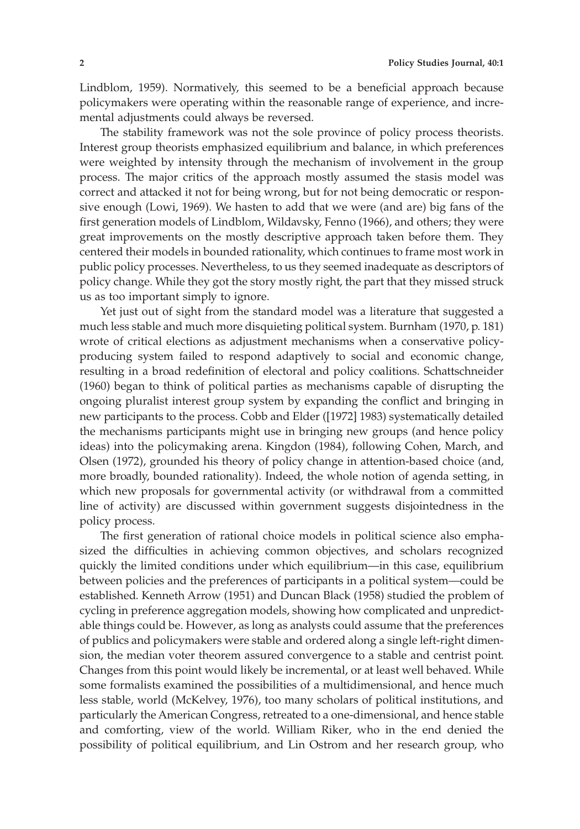Lindblom, 1959). Normatively, this seemed to be a beneficial approach because policymakers were operating within the reasonable range of experience, and incremental adjustments could always be reversed.

The stability framework was not the sole province of policy process theorists. Interest group theorists emphasized equilibrium and balance, in which preferences were weighted by intensity through the mechanism of involvement in the group process. The major critics of the approach mostly assumed the stasis model was correct and attacked it not for being wrong, but for not being democratic or responsive enough (Lowi, 1969). We hasten to add that we were (and are) big fans of the first generation models of Lindblom, Wildavsky, Fenno (1966), and others; they were great improvements on the mostly descriptive approach taken before them. They centered their models in bounded rationality, which continues to frame most work in public policy processes. Nevertheless, to us they seemed inadequate as descriptors of policy change. While they got the story mostly right, the part that they missed struck us as too important simply to ignore.

Yet just out of sight from the standard model was a literature that suggested a much less stable and much more disquieting political system. Burnham (1970, p. 181) wrote of critical elections as adjustment mechanisms when a conservative policyproducing system failed to respond adaptively to social and economic change, resulting in a broad redefinition of electoral and policy coalitions. Schattschneider (1960) began to think of political parties as mechanisms capable of disrupting the ongoing pluralist interest group system by expanding the conflict and bringing in new participants to the process. Cobb and Elder ([1972] 1983) systematically detailed the mechanisms participants might use in bringing new groups (and hence policy ideas) into the policymaking arena. Kingdon (1984), following Cohen, March, and Olsen (1972), grounded his theory of policy change in attention-based choice (and, more broadly, bounded rationality). Indeed, the whole notion of agenda setting, in which new proposals for governmental activity (or withdrawal from a committed line of activity) are discussed within government suggests disjointedness in the policy process.

The first generation of rational choice models in political science also emphasized the difficulties in achieving common objectives, and scholars recognized quickly the limited conditions under which equilibrium—in this case, equilibrium between policies and the preferences of participants in a political system—could be established. Kenneth Arrow (1951) and Duncan Black (1958) studied the problem of cycling in preference aggregation models, showing how complicated and unpredictable things could be. However, as long as analysts could assume that the preferences of publics and policymakers were stable and ordered along a single left-right dimension, the median voter theorem assured convergence to a stable and centrist point. Changes from this point would likely be incremental, or at least well behaved. While some formalists examined the possibilities of a multidimensional, and hence much less stable, world (McKelvey, 1976), too many scholars of political institutions, and particularly the American Congress, retreated to a one-dimensional, and hence stable and comforting, view of the world. William Riker, who in the end denied the possibility of political equilibrium, and Lin Ostrom and her research group, who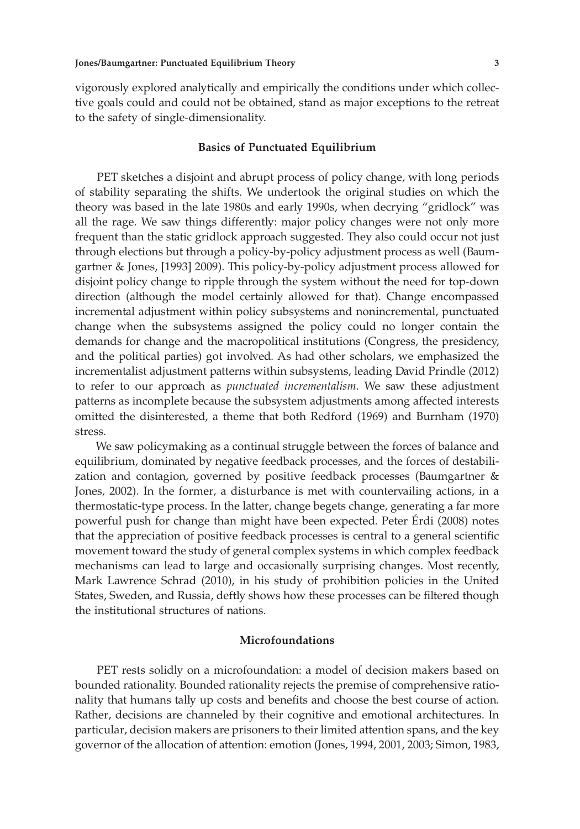vigorously explored analytically and empirically the conditions under which collective goals could and could not be obtained, stand as major exceptions to the retreat to the safety of single-dimensionality.

### **Basics of Punctuated Equilibrium**

PET sketches a disjoint and abrupt process of policy change, with long periods of stability separating the shifts. We undertook the original studies on which the theory was based in the late 1980s and early 1990s, when decrying "gridlock" was all the rage. We saw things differently: major policy changes were not only more frequent than the static gridlock approach suggested. They also could occur not just through elections but through a policy-by-policy adjustment process as well (Baumgartner & Jones, [1993] 2009). This policy-by-policy adjustment process allowed for disjoint policy change to ripple through the system without the need for top-down direction (although the model certainly allowed for that). Change encompassed incremental adjustment within policy subsystems and nonincremental, punctuated change when the subsystems assigned the policy could no longer contain the demands for change and the macropolitical institutions (Congress, the presidency, and the political parties) got involved. As had other scholars, we emphasized the incrementalist adjustment patterns within subsystems, leading David Prindle (2012) to refer to our approach as *punctuated incrementalism*. We saw these adjustment patterns as incomplete because the subsystem adjustments among affected interests omitted the disinterested, a theme that both Redford (1969) and Burnham (1970) stress.

We saw policymaking as a continual struggle between the forces of balance and equilibrium, dominated by negative feedback processes, and the forces of destabilization and contagion, governed by positive feedback processes (Baumgartner & Jones, 2002). In the former, a disturbance is met with countervailing actions, in a thermostatic-type process. In the latter, change begets change, generating a far more powerful push for change than might have been expected. Peter Érdi (2008) notes that the appreciation of positive feedback processes is central to a general scientific movement toward the study of general complex systems in which complex feedback mechanisms can lead to large and occasionally surprising changes. Most recently, Mark Lawrence Schrad (2010), in his study of prohibition policies in the United States, Sweden, and Russia, deftly shows how these processes can be filtered though the institutional structures of nations.

## **Microfoundations**

PET rests solidly on a microfoundation: a model of decision makers based on bounded rationality. Bounded rationality rejects the premise of comprehensive rationality that humans tally up costs and benefits and choose the best course of action. Rather, decisions are channeled by their cognitive and emotional architectures. In particular, decision makers are prisoners to their limited attention spans, and the key governor of the allocation of attention: emotion (Jones, 1994, 2001, 2003; Simon, 1983,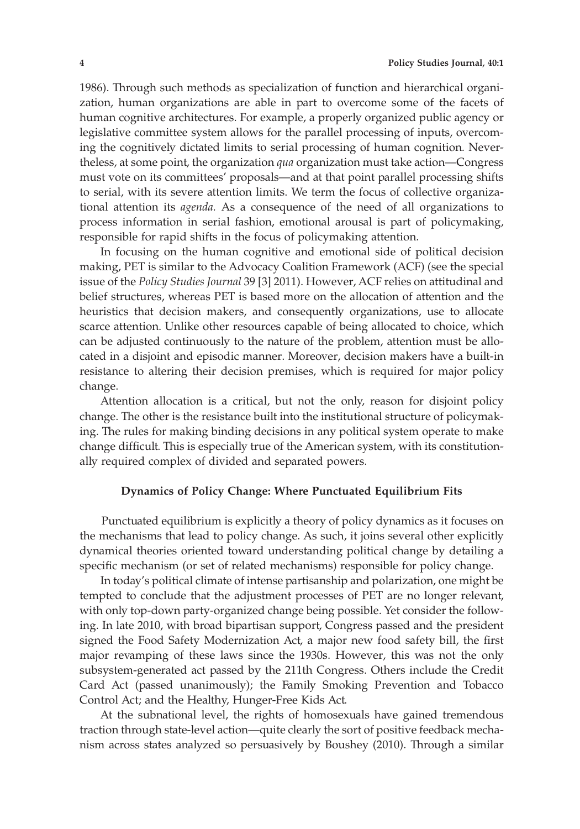1986). Through such methods as specialization of function and hierarchical organization, human organizations are able in part to overcome some of the facets of human cognitive architectures. For example, a properly organized public agency or legislative committee system allows for the parallel processing of inputs, overcoming the cognitively dictated limits to serial processing of human cognition. Nevertheless, at some point, the organization *qua* organization must take action—Congress must vote on its committees' proposals—and at that point parallel processing shifts to serial, with its severe attention limits. We term the focus of collective organizational attention its *agenda.* As a consequence of the need of all organizations to process information in serial fashion, emotional arousal is part of policymaking, responsible for rapid shifts in the focus of policymaking attention.

In focusing on the human cognitive and emotional side of political decision making, PET is similar to the Advocacy Coalition Framework (ACF) (see the special issue of the *Policy Studies Journal* 39 [3] 2011). However, ACF relies on attitudinal and belief structures, whereas PET is based more on the allocation of attention and the heuristics that decision makers, and consequently organizations, use to allocate scarce attention. Unlike other resources capable of being allocated to choice, which can be adjusted continuously to the nature of the problem, attention must be allocated in a disjoint and episodic manner. Moreover, decision makers have a built-in resistance to altering their decision premises, which is required for major policy change.

Attention allocation is a critical, but not the only, reason for disjoint policy change. The other is the resistance built into the institutional structure of policymaking. The rules for making binding decisions in any political system operate to make change difficult. This is especially true of the American system, with its constitutionally required complex of divided and separated powers.

## **Dynamics of Policy Change: Where Punctuated Equilibrium Fits**

Punctuated equilibrium is explicitly a theory of policy dynamics as it focuses on the mechanisms that lead to policy change. As such, it joins several other explicitly dynamical theories oriented toward understanding political change by detailing a specific mechanism (or set of related mechanisms) responsible for policy change.

In today's political climate of intense partisanship and polarization, one might be tempted to conclude that the adjustment processes of PET are no longer relevant, with only top-down party-organized change being possible. Yet consider the following. In late 2010, with broad bipartisan support, Congress passed and the president signed the Food Safety Modernization Act, a major new food safety bill, the first major revamping of these laws since the 1930s. However, this was not the only subsystem-generated act passed by the 211th Congress. Others include the Credit Card Act (passed unanimously); the Family Smoking Prevention and Tobacco Control Act; and the Healthy, Hunger-Free Kids Act.

At the subnational level, the rights of homosexuals have gained tremendous traction through state-level action—quite clearly the sort of positive feedback mechanism across states analyzed so persuasively by Boushey (2010). Through a similar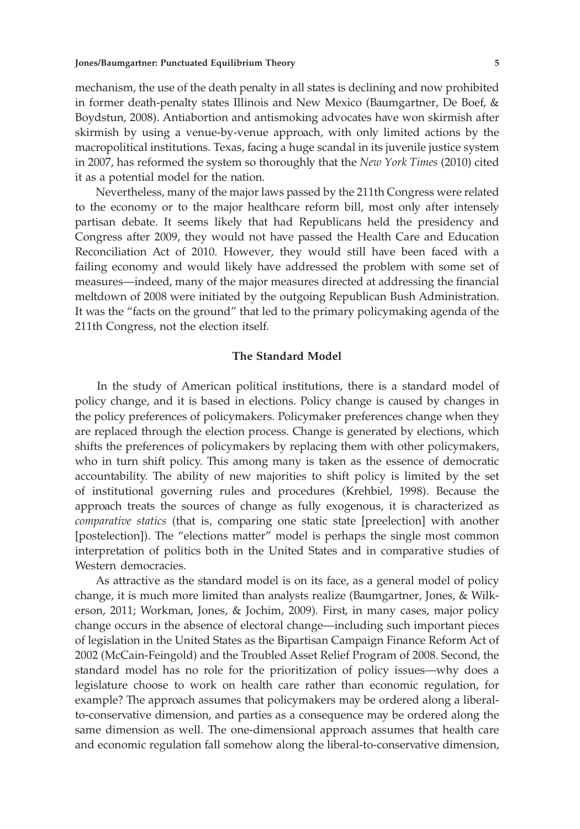mechanism, the use of the death penalty in all states is declining and now prohibited in former death-penalty states Illinois and New Mexico (Baumgartner, De Boef, & Boydstun, 2008). Antiabortion and antismoking advocates have won skirmish after skirmish by using a venue-by-venue approach, with only limited actions by the macropolitical institutions. Texas, facing a huge scandal in its juvenile justice system in 2007, has reformed the system so thoroughly that the *New York Times* (2010) cited it as a potential model for the nation.

Nevertheless, many of the major laws passed by the 211th Congress were related to the economy or to the major healthcare reform bill, most only after intensely partisan debate. It seems likely that had Republicans held the presidency and Congress after 2009, they would not have passed the Health Care and Education Reconciliation Act of 2010. However, they would still have been faced with a failing economy and would likely have addressed the problem with some set of measures—indeed, many of the major measures directed at addressing the financial meltdown of 2008 were initiated by the outgoing Republican Bush Administration. It was the "facts on the ground" that led to the primary policymaking agenda of the 211th Congress, not the election itself.

#### **The Standard Model**

In the study of American political institutions, there is a standard model of policy change, and it is based in elections. Policy change is caused by changes in the policy preferences of policymakers. Policymaker preferences change when they are replaced through the election process. Change is generated by elections, which shifts the preferences of policymakers by replacing them with other policymakers, who in turn shift policy. This among many is taken as the essence of democratic accountability. The ability of new majorities to shift policy is limited by the set of institutional governing rules and procedures (Krehbiel, 1998). Because the approach treats the sources of change as fully exogenous, it is characterized as *comparative statics* (that is, comparing one static state [preelection] with another [postelection]). The "elections matter" model is perhaps the single most common interpretation of politics both in the United States and in comparative studies of Western democracies.

As attractive as the standard model is on its face, as a general model of policy change, it is much more limited than analysts realize (Baumgartner, Jones, & Wilkerson, 2011; Workman, Jones, & Jochim, 2009). First, in many cases, major policy change occurs in the absence of electoral change—including such important pieces of legislation in the United States as the Bipartisan Campaign Finance Reform Act of 2002 (McCain-Feingold) and the Troubled Asset Relief Program of 2008. Second, the standard model has no role for the prioritization of policy issues—why does a legislature choose to work on health care rather than economic regulation, for example? The approach assumes that policymakers may be ordered along a liberalto-conservative dimension, and parties as a consequence may be ordered along the same dimension as well. The one-dimensional approach assumes that health care and economic regulation fall somehow along the liberal-to-conservative dimension,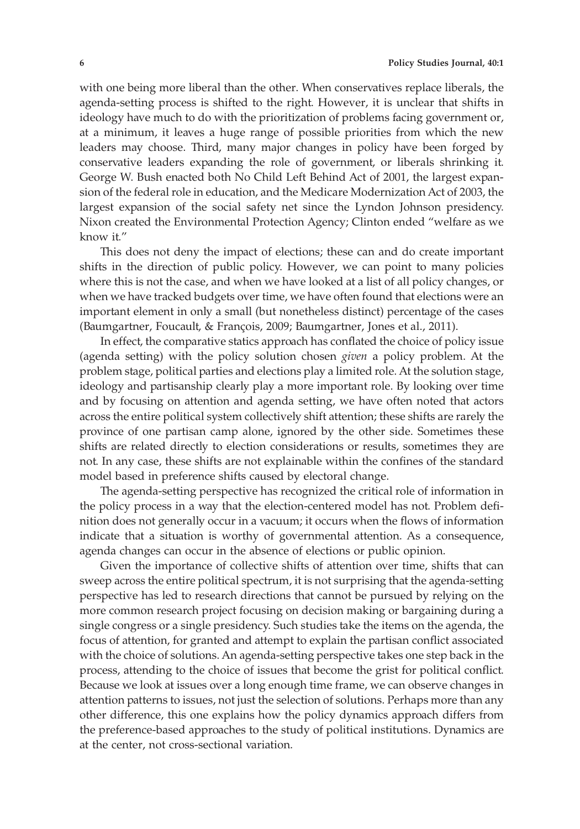with one being more liberal than the other. When conservatives replace liberals, the agenda-setting process is shifted to the right. However, it is unclear that shifts in ideology have much to do with the prioritization of problems facing government or, at a minimum, it leaves a huge range of possible priorities from which the new leaders may choose. Third, many major changes in policy have been forged by conservative leaders expanding the role of government, or liberals shrinking it. George W. Bush enacted both No Child Left Behind Act of 2001, the largest expansion of the federal role in education, and the Medicare Modernization Act of 2003, the largest expansion of the social safety net since the Lyndon Johnson presidency. Nixon created the Environmental Protection Agency; Clinton ended "welfare as we know it."

This does not deny the impact of elections; these can and do create important shifts in the direction of public policy. However, we can point to many policies where this is not the case, and when we have looked at a list of all policy changes, or when we have tracked budgets over time, we have often found that elections were an important element in only a small (but nonetheless distinct) percentage of the cases (Baumgartner, Foucault, & François, 2009; Baumgartner, Jones et al., 2011).

In effect, the comparative statics approach has conflated the choice of policy issue (agenda setting) with the policy solution chosen *given* a policy problem. At the problem stage, political parties and elections play a limited role. At the solution stage, ideology and partisanship clearly play a more important role. By looking over time and by focusing on attention and agenda setting, we have often noted that actors across the entire political system collectively shift attention; these shifts are rarely the province of one partisan camp alone, ignored by the other side. Sometimes these shifts are related directly to election considerations or results, sometimes they are not. In any case, these shifts are not explainable within the confines of the standard model based in preference shifts caused by electoral change.

The agenda-setting perspective has recognized the critical role of information in the policy process in a way that the election-centered model has not. Problem definition does not generally occur in a vacuum; it occurs when the flows of information indicate that a situation is worthy of governmental attention. As a consequence, agenda changes can occur in the absence of elections or public opinion.

Given the importance of collective shifts of attention over time, shifts that can sweep across the entire political spectrum, it is not surprising that the agenda-setting perspective has led to research directions that cannot be pursued by relying on the more common research project focusing on decision making or bargaining during a single congress or a single presidency. Such studies take the items on the agenda, the focus of attention, for granted and attempt to explain the partisan conflict associated with the choice of solutions. An agenda-setting perspective takes one step back in the process, attending to the choice of issues that become the grist for political conflict. Because we look at issues over a long enough time frame, we can observe changes in attention patterns to issues, not just the selection of solutions. Perhaps more than any other difference, this one explains how the policy dynamics approach differs from the preference-based approaches to the study of political institutions. Dynamics are at the center, not cross-sectional variation.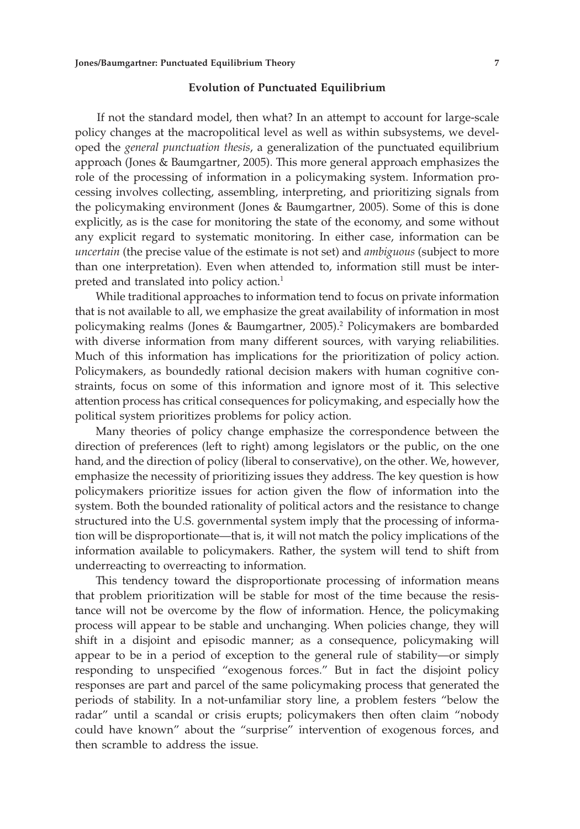## **Evolution of Punctuated Equilibrium**

If not the standard model, then what? In an attempt to account for large-scale policy changes at the macropolitical level as well as within subsystems, we developed the *general punctuation thesis*, a generalization of the punctuated equilibrium approach (Jones & Baumgartner, 2005). This more general approach emphasizes the role of the processing of information in a policymaking system. Information processing involves collecting, assembling, interpreting, and prioritizing signals from the policymaking environment (Jones & Baumgartner, 2005). Some of this is done explicitly, as is the case for monitoring the state of the economy, and some without any explicit regard to systematic monitoring. In either case, information can be *uncertain* (the precise value of the estimate is not set) and *ambiguous* (subject to more than one interpretation). Even when attended to, information still must be interpreted and translated into policy action.<sup>1</sup>

While traditional approaches to information tend to focus on private information that is not available to all, we emphasize the great availability of information in most policymaking realms (Jones & Baumgartner, 2005).<sup>2</sup> Policymakers are bombarded with diverse information from many different sources, with varying reliabilities. Much of this information has implications for the prioritization of policy action. Policymakers, as boundedly rational decision makers with human cognitive constraints, focus on some of this information and ignore most of it. This selective attention process has critical consequences for policymaking, and especially how the political system prioritizes problems for policy action.

Many theories of policy change emphasize the correspondence between the direction of preferences (left to right) among legislators or the public, on the one hand, and the direction of policy (liberal to conservative), on the other. We, however, emphasize the necessity of prioritizing issues they address. The key question is how policymakers prioritize issues for action given the flow of information into the system. Both the bounded rationality of political actors and the resistance to change structured into the U.S. governmental system imply that the processing of information will be disproportionate—that is, it will not match the policy implications of the information available to policymakers. Rather, the system will tend to shift from underreacting to overreacting to information.

This tendency toward the disproportionate processing of information means that problem prioritization will be stable for most of the time because the resistance will not be overcome by the flow of information. Hence, the policymaking process will appear to be stable and unchanging. When policies change, they will shift in a disjoint and episodic manner; as a consequence, policymaking will appear to be in a period of exception to the general rule of stability—or simply responding to unspecified "exogenous forces." But in fact the disjoint policy responses are part and parcel of the same policymaking process that generated the periods of stability. In a not-unfamiliar story line, a problem festers "below the radar" until a scandal or crisis erupts; policymakers then often claim "nobody could have known" about the "surprise" intervention of exogenous forces, and then scramble to address the issue.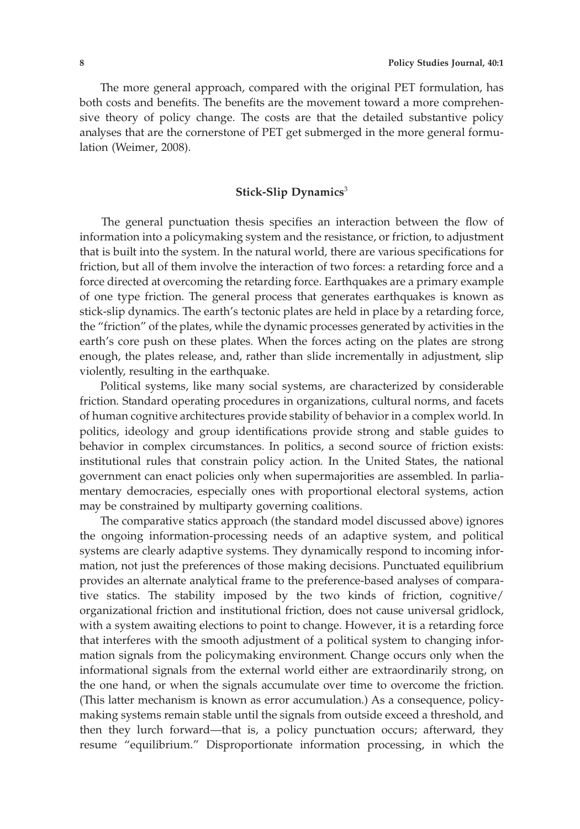The more general approach, compared with the original PET formulation, has both costs and benefits. The benefits are the movement toward a more comprehensive theory of policy change. The costs are that the detailed substantive policy analyses that are the cornerstone of PET get submerged in the more general formulation (Weimer, 2008).

## **Stick-Slip Dynamics**<sup>3</sup>

The general punctuation thesis specifies an interaction between the flow of information into a policymaking system and the resistance, or friction, to adjustment that is built into the system. In the natural world, there are various specifications for friction, but all of them involve the interaction of two forces: a retarding force and a force directed at overcoming the retarding force. Earthquakes are a primary example of one type friction. The general process that generates earthquakes is known as stick-slip dynamics. The earth's tectonic plates are held in place by a retarding force, the "friction" of the plates, while the dynamic processes generated by activities in the earth's core push on these plates. When the forces acting on the plates are strong enough, the plates release, and, rather than slide incrementally in adjustment, slip violently, resulting in the earthquake.

Political systems, like many social systems, are characterized by considerable friction. Standard operating procedures in organizations, cultural norms, and facets of human cognitive architectures provide stability of behavior in a complex world. In politics, ideology and group identifications provide strong and stable guides to behavior in complex circumstances. In politics, a second source of friction exists: institutional rules that constrain policy action. In the United States, the national government can enact policies only when supermajorities are assembled. In parliamentary democracies, especially ones with proportional electoral systems, action may be constrained by multiparty governing coalitions.

The comparative statics approach (the standard model discussed above) ignores the ongoing information-processing needs of an adaptive system, and political systems are clearly adaptive systems. They dynamically respond to incoming information, not just the preferences of those making decisions. Punctuated equilibrium provides an alternate analytical frame to the preference-based analyses of comparative statics. The stability imposed by the two kinds of friction, cognitive/ organizational friction and institutional friction, does not cause universal gridlock, with a system awaiting elections to point to change. However, it is a retarding force that interferes with the smooth adjustment of a political system to changing information signals from the policymaking environment. Change occurs only when the informational signals from the external world either are extraordinarily strong, on the one hand, or when the signals accumulate over time to overcome the friction. (This latter mechanism is known as error accumulation.) As a consequence, policymaking systems remain stable until the signals from outside exceed a threshold, and then they lurch forward—that is, a policy punctuation occurs; afterward, they resume "equilibrium." Disproportionate information processing, in which the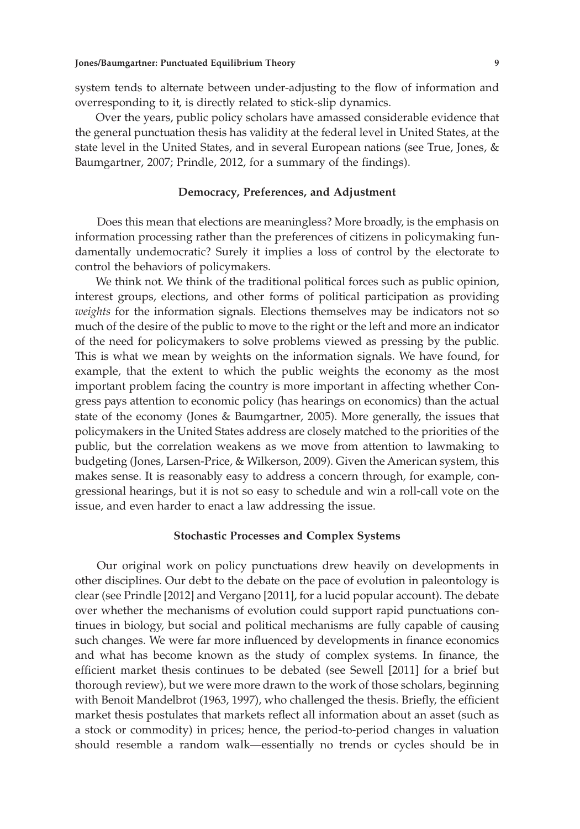system tends to alternate between under-adjusting to the flow of information and overresponding to it, is directly related to stick-slip dynamics.

Over the years, public policy scholars have amassed considerable evidence that the general punctuation thesis has validity at the federal level in United States, at the state level in the United States, and in several European nations (see True, Jones, & Baumgartner, 2007; Prindle, 2012, for a summary of the findings).

## **Democracy, Preferences, and Adjustment**

Does this mean that elections are meaningless? More broadly, is the emphasis on information processing rather than the preferences of citizens in policymaking fundamentally undemocratic? Surely it implies a loss of control by the electorate to control the behaviors of policymakers.

We think not. We think of the traditional political forces such as public opinion, interest groups, elections, and other forms of political participation as providing *weights* for the information signals. Elections themselves may be indicators not so much of the desire of the public to move to the right or the left and more an indicator of the need for policymakers to solve problems viewed as pressing by the public. This is what we mean by weights on the information signals. We have found, for example, that the extent to which the public weights the economy as the most important problem facing the country is more important in affecting whether Congress pays attention to economic policy (has hearings on economics) than the actual state of the economy (Jones & Baumgartner, 2005). More generally, the issues that policymakers in the United States address are closely matched to the priorities of the public, but the correlation weakens as we move from attention to lawmaking to budgeting (Jones, Larsen-Price, & Wilkerson, 2009). Given the American system, this makes sense. It is reasonably easy to address a concern through, for example, congressional hearings, but it is not so easy to schedule and win a roll-call vote on the issue, and even harder to enact a law addressing the issue.

#### **Stochastic Processes and Complex Systems**

Our original work on policy punctuations drew heavily on developments in other disciplines. Our debt to the debate on the pace of evolution in paleontology is clear (see Prindle [2012] and Vergano [2011], for a lucid popular account). The debate over whether the mechanisms of evolution could support rapid punctuations continues in biology, but social and political mechanisms are fully capable of causing such changes. We were far more influenced by developments in finance economics and what has become known as the study of complex systems. In finance, the efficient market thesis continues to be debated (see Sewell [2011] for a brief but thorough review), but we were more drawn to the work of those scholars, beginning with Benoit Mandelbrot (1963, 1997), who challenged the thesis. Briefly, the efficient market thesis postulates that markets reflect all information about an asset (such as a stock or commodity) in prices; hence, the period-to-period changes in valuation should resemble a random walk—essentially no trends or cycles should be in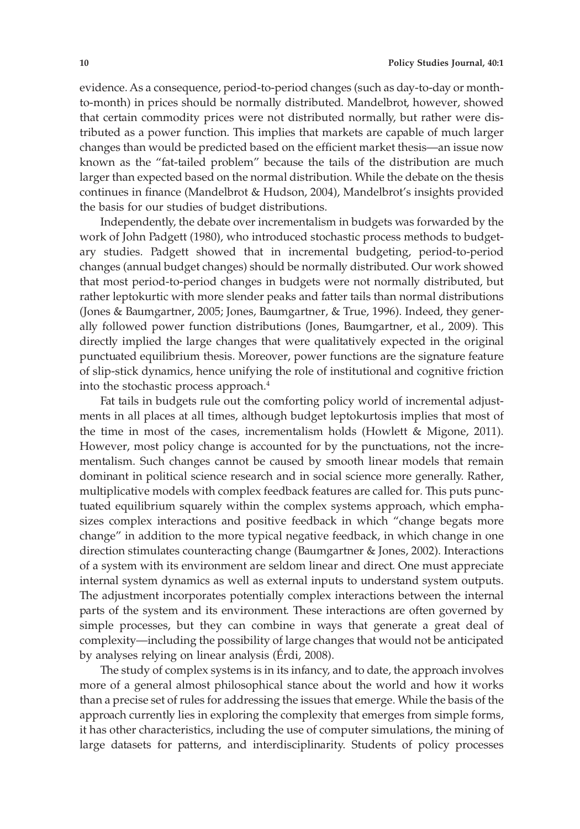evidence. As a consequence, period-to-period changes (such as day-to-day or monthto-month) in prices should be normally distributed. Mandelbrot, however, showed that certain commodity prices were not distributed normally, but rather were distributed as a power function. This implies that markets are capable of much larger changes than would be predicted based on the efficient market thesis—an issue now known as the "fat-tailed problem" because the tails of the distribution are much larger than expected based on the normal distribution. While the debate on the thesis continues in finance (Mandelbrot & Hudson, 2004), Mandelbrot's insights provided the basis for our studies of budget distributions.

Independently, the debate over incrementalism in budgets was forwarded by the work of John Padgett (1980), who introduced stochastic process methods to budgetary studies. Padgett showed that in incremental budgeting, period-to-period changes (annual budget changes) should be normally distributed. Our work showed that most period-to-period changes in budgets were not normally distributed, but rather leptokurtic with more slender peaks and fatter tails than normal distributions (Jones & Baumgartner, 2005; Jones, Baumgartner, & True, 1996). Indeed, they generally followed power function distributions (Jones, Baumgartner, et al., 2009). This directly implied the large changes that were qualitatively expected in the original punctuated equilibrium thesis. Moreover, power functions are the signature feature of slip-stick dynamics, hence unifying the role of institutional and cognitive friction into the stochastic process approach.<sup>4</sup>

Fat tails in budgets rule out the comforting policy world of incremental adjustments in all places at all times, although budget leptokurtosis implies that most of the time in most of the cases, incrementalism holds (Howlett & Migone, 2011). However, most policy change is accounted for by the punctuations, not the incrementalism. Such changes cannot be caused by smooth linear models that remain dominant in political science research and in social science more generally. Rather, multiplicative models with complex feedback features are called for. This puts punctuated equilibrium squarely within the complex systems approach, which emphasizes complex interactions and positive feedback in which "change begats more change" in addition to the more typical negative feedback, in which change in one direction stimulates counteracting change (Baumgartner & Jones, 2002). Interactions of a system with its environment are seldom linear and direct. One must appreciate internal system dynamics as well as external inputs to understand system outputs. The adjustment incorporates potentially complex interactions between the internal parts of the system and its environment. These interactions are often governed by simple processes, but they can combine in ways that generate a great deal of complexity—including the possibility of large changes that would not be anticipated by analyses relying on linear analysis (Érdi, 2008).

The study of complex systems is in its infancy, and to date, the approach involves more of a general almost philosophical stance about the world and how it works than a precise set of rules for addressing the issues that emerge. While the basis of the approach currently lies in exploring the complexity that emerges from simple forms, it has other characteristics, including the use of computer simulations, the mining of large datasets for patterns, and interdisciplinarity. Students of policy processes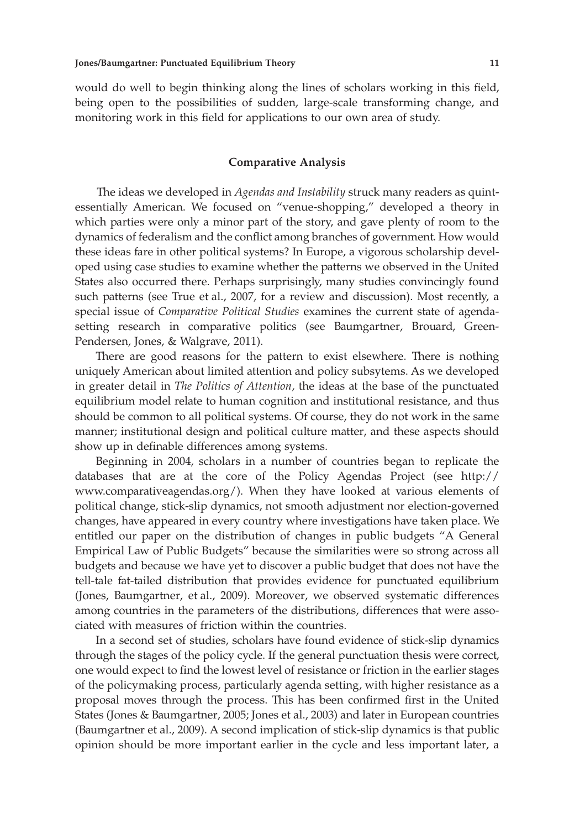would do well to begin thinking along the lines of scholars working in this field, being open to the possibilities of sudden, large-scale transforming change, and monitoring work in this field for applications to our own area of study.

## **Comparative Analysis**

The ideas we developed in *Agendas and Instability* struck many readers as quintessentially American. We focused on "venue-shopping," developed a theory in which parties were only a minor part of the story, and gave plenty of room to the dynamics of federalism and the conflict among branches of government. How would these ideas fare in other political systems? In Europe, a vigorous scholarship developed using case studies to examine whether the patterns we observed in the United States also occurred there. Perhaps surprisingly, many studies convincingly found such patterns (see True et al., 2007, for a review and discussion). Most recently, a special issue of *Comparative Political Studies* examines the current state of agendasetting research in comparative politics (see Baumgartner, Brouard, Green-Pendersen, Jones, & Walgrave, 2011).

There are good reasons for the pattern to exist elsewhere. There is nothing uniquely American about limited attention and policy subsytems. As we developed in greater detail in *The Politics of Attention*, the ideas at the base of the punctuated equilibrium model relate to human cognition and institutional resistance, and thus should be common to all political systems. Of course, they do not work in the same manner; institutional design and political culture matter, and these aspects should show up in definable differences among systems.

Beginning in 2004, scholars in a number of countries began to replicate the databases that are at the core of the Policy Agendas Project (see http:// www.comparativeagendas.org/). When they have looked at various elements of political change, stick-slip dynamics, not smooth adjustment nor election-governed changes, have appeared in every country where investigations have taken place. We entitled our paper on the distribution of changes in public budgets "A General Empirical Law of Public Budgets" because the similarities were so strong across all budgets and because we have yet to discover a public budget that does not have the tell-tale fat-tailed distribution that provides evidence for punctuated equilibrium (Jones, Baumgartner, et al., 2009). Moreover, we observed systematic differences among countries in the parameters of the distributions, differences that were associated with measures of friction within the countries.

In a second set of studies, scholars have found evidence of stick-slip dynamics through the stages of the policy cycle. If the general punctuation thesis were correct, one would expect to find the lowest level of resistance or friction in the earlier stages of the policymaking process, particularly agenda setting, with higher resistance as a proposal moves through the process. This has been confirmed first in the United States (Jones & Baumgartner, 2005; Jones et al., 2003) and later in European countries (Baumgartner et al., 2009). A second implication of stick-slip dynamics is that public opinion should be more important earlier in the cycle and less important later, a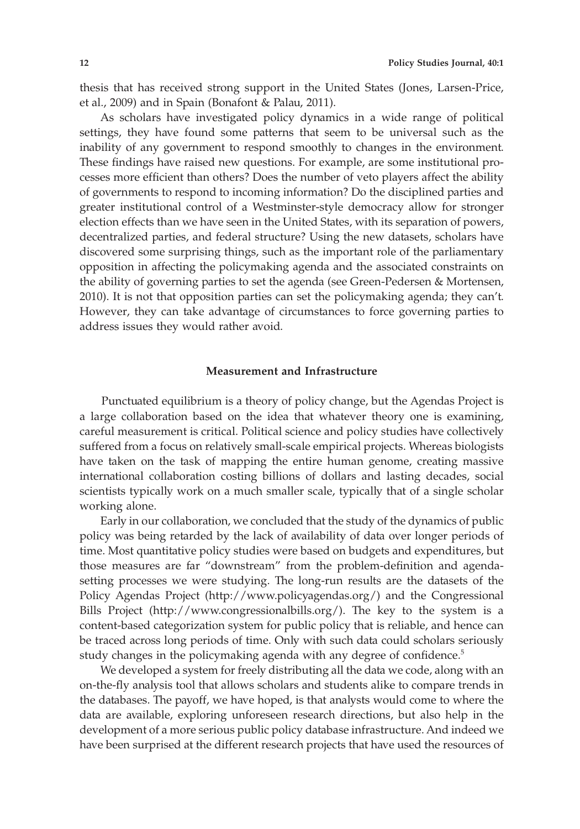thesis that has received strong support in the United States (Jones, Larsen-Price, et al., 2009) and in Spain (Bonafont & Palau, 2011).

As scholars have investigated policy dynamics in a wide range of political settings, they have found some patterns that seem to be universal such as the inability of any government to respond smoothly to changes in the environment. These findings have raised new questions. For example, are some institutional processes more efficient than others? Does the number of veto players affect the ability of governments to respond to incoming information? Do the disciplined parties and greater institutional control of a Westminster-style democracy allow for stronger election effects than we have seen in the United States, with its separation of powers, decentralized parties, and federal structure? Using the new datasets, scholars have discovered some surprising things, such as the important role of the parliamentary opposition in affecting the policymaking agenda and the associated constraints on the ability of governing parties to set the agenda (see Green-Pedersen & Mortensen, 2010). It is not that opposition parties can set the policymaking agenda; they can't. However, they can take advantage of circumstances to force governing parties to address issues they would rather avoid.

## **Measurement and Infrastructure**

Punctuated equilibrium is a theory of policy change, but the Agendas Project is a large collaboration based on the idea that whatever theory one is examining, careful measurement is critical. Political science and policy studies have collectively suffered from a focus on relatively small-scale empirical projects. Whereas biologists have taken on the task of mapping the entire human genome, creating massive international collaboration costing billions of dollars and lasting decades, social scientists typically work on a much smaller scale, typically that of a single scholar working alone.

Early in our collaboration, we concluded that the study of the dynamics of public policy was being retarded by the lack of availability of data over longer periods of time. Most quantitative policy studies were based on budgets and expenditures, but those measures are far "downstream" from the problem-definition and agendasetting processes we were studying. The long-run results are the datasets of the Policy Agendas Project (http://www.policyagendas.org/) and the Congressional Bills Project (http://www.congressionalbills.org/). The key to the system is a content-based categorization system for public policy that is reliable, and hence can be traced across long periods of time. Only with such data could scholars seriously study changes in the policymaking agenda with any degree of confidence.<sup>5</sup>

We developed a system for freely distributing all the data we code, along with an on-the-fly analysis tool that allows scholars and students alike to compare trends in the databases. The payoff, we have hoped, is that analysts would come to where the data are available, exploring unforeseen research directions, but also help in the development of a more serious public policy database infrastructure. And indeed we have been surprised at the different research projects that have used the resources of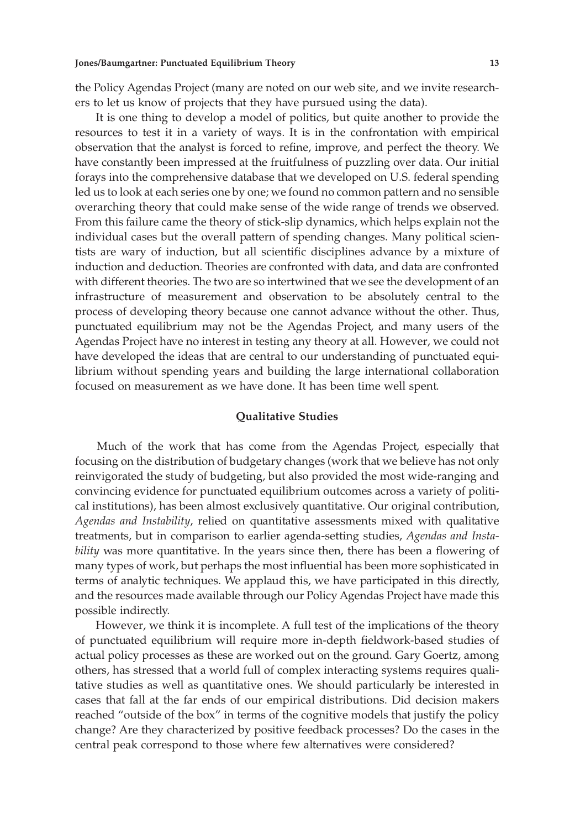the Policy Agendas Project (many are noted on our web site, and we invite researchers to let us know of projects that they have pursued using the data).

It is one thing to develop a model of politics, but quite another to provide the resources to test it in a variety of ways. It is in the confrontation with empirical observation that the analyst is forced to refine, improve, and perfect the theory. We have constantly been impressed at the fruitfulness of puzzling over data. Our initial forays into the comprehensive database that we developed on U.S. federal spending led us to look at each series one by one; we found no common pattern and no sensible overarching theory that could make sense of the wide range of trends we observed. From this failure came the theory of stick-slip dynamics, which helps explain not the individual cases but the overall pattern of spending changes. Many political scientists are wary of induction, but all scientific disciplines advance by a mixture of induction and deduction. Theories are confronted with data, and data are confronted with different theories. The two are so intertwined that we see the development of an infrastructure of measurement and observation to be absolutely central to the process of developing theory because one cannot advance without the other. Thus, punctuated equilibrium may not be the Agendas Project, and many users of the Agendas Project have no interest in testing any theory at all. However, we could not have developed the ideas that are central to our understanding of punctuated equilibrium without spending years and building the large international collaboration focused on measurement as we have done. It has been time well spent.

## **Qualitative Studies**

Much of the work that has come from the Agendas Project, especially that focusing on the distribution of budgetary changes (work that we believe has not only reinvigorated the study of budgeting, but also provided the most wide-ranging and convincing evidence for punctuated equilibrium outcomes across a variety of political institutions), has been almost exclusively quantitative. Our original contribution, *Agendas and Instability*, relied on quantitative assessments mixed with qualitative treatments, but in comparison to earlier agenda-setting studies, *Agendas and Instability* was more quantitative. In the years since then, there has been a flowering of many types of work, but perhaps the most influential has been more sophisticated in terms of analytic techniques. We applaud this, we have participated in this directly, and the resources made available through our Policy Agendas Project have made this possible indirectly.

However, we think it is incomplete. A full test of the implications of the theory of punctuated equilibrium will require more in-depth fieldwork-based studies of actual policy processes as these are worked out on the ground. Gary Goertz, among others, has stressed that a world full of complex interacting systems requires qualitative studies as well as quantitative ones. We should particularly be interested in cases that fall at the far ends of our empirical distributions. Did decision makers reached "outside of the box" in terms of the cognitive models that justify the policy change? Are they characterized by positive feedback processes? Do the cases in the central peak correspond to those where few alternatives were considered?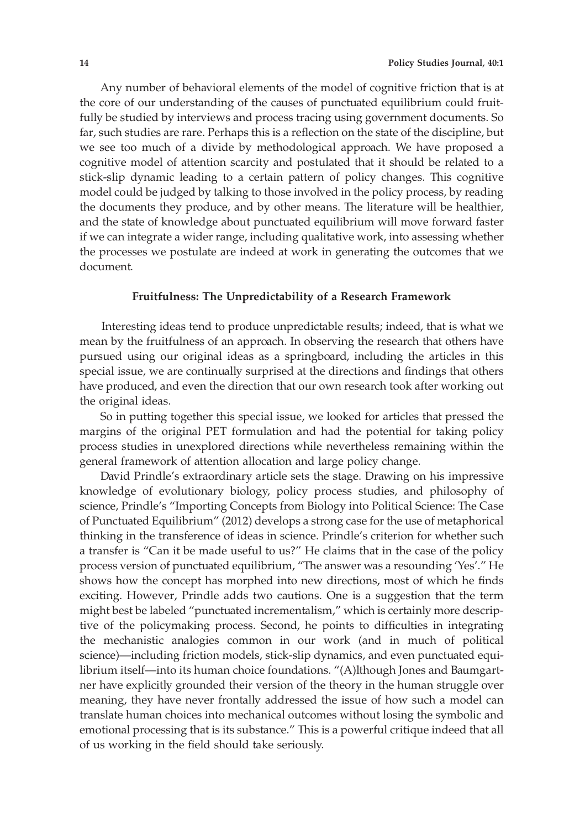Any number of behavioral elements of the model of cognitive friction that is at the core of our understanding of the causes of punctuated equilibrium could fruitfully be studied by interviews and process tracing using government documents. So far, such studies are rare. Perhaps this is a reflection on the state of the discipline, but we see too much of a divide by methodological approach. We have proposed a cognitive model of attention scarcity and postulated that it should be related to a stick-slip dynamic leading to a certain pattern of policy changes. This cognitive model could be judged by talking to those involved in the policy process, by reading the documents they produce, and by other means. The literature will be healthier, and the state of knowledge about punctuated equilibrium will move forward faster if we can integrate a wider range, including qualitative work, into assessing whether the processes we postulate are indeed at work in generating the outcomes that we document.

## **Fruitfulness: The Unpredictability of a Research Framework**

Interesting ideas tend to produce unpredictable results; indeed, that is what we mean by the fruitfulness of an approach. In observing the research that others have pursued using our original ideas as a springboard, including the articles in this special issue, we are continually surprised at the directions and findings that others have produced, and even the direction that our own research took after working out the original ideas.

So in putting together this special issue, we looked for articles that pressed the margins of the original PET formulation and had the potential for taking policy process studies in unexplored directions while nevertheless remaining within the general framework of attention allocation and large policy change.

David Prindle's extraordinary article sets the stage. Drawing on his impressive knowledge of evolutionary biology, policy process studies, and philosophy of science, Prindle's "Importing Concepts from Biology into Political Science: The Case of Punctuated Equilibrium" (2012) develops a strong case for the use of metaphorical thinking in the transference of ideas in science. Prindle's criterion for whether such a transfer is "Can it be made useful to us?" He claims that in the case of the policy process version of punctuated equilibrium, "The answer was a resounding 'Yes'." He shows how the concept has morphed into new directions, most of which he finds exciting. However, Prindle adds two cautions. One is a suggestion that the term might best be labeled "punctuated incrementalism," which is certainly more descriptive of the policymaking process. Second, he points to difficulties in integrating the mechanistic analogies common in our work (and in much of political science)—including friction models, stick-slip dynamics, and even punctuated equilibrium itself—into its human choice foundations. "(A)lthough Jones and Baumgartner have explicitly grounded their version of the theory in the human struggle over meaning, they have never frontally addressed the issue of how such a model can translate human choices into mechanical outcomes without losing the symbolic and emotional processing that is its substance." This is a powerful critique indeed that all of us working in the field should take seriously.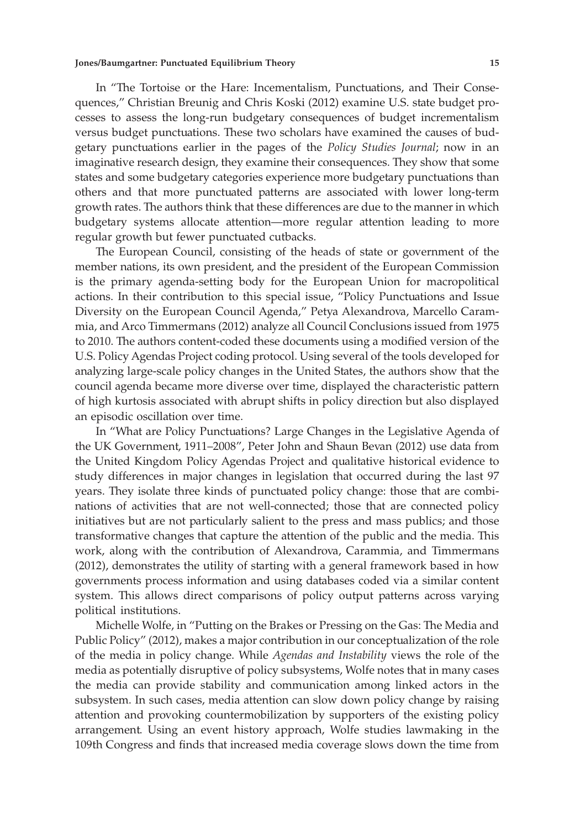In "The Tortoise or the Hare: Incementalism, Punctuations, and Their Consequences," Christian Breunig and Chris Koski (2012) examine U.S. state budget processes to assess the long-run budgetary consequences of budget incrementalism versus budget punctuations. These two scholars have examined the causes of budgetary punctuations earlier in the pages of the *Policy Studies Journal*; now in an imaginative research design, they examine their consequences. They show that some states and some budgetary categories experience more budgetary punctuations than others and that more punctuated patterns are associated with lower long-term growth rates. The authors think that these differences are due to the manner in which budgetary systems allocate attention—more regular attention leading to more regular growth but fewer punctuated cutbacks.

The European Council, consisting of the heads of state or government of the member nations, its own president, and the president of the European Commission is the primary agenda-setting body for the European Union for macropolitical actions. In their contribution to this special issue, "Policy Punctuations and Issue Diversity on the European Council Agenda," Petya Alexandrova, Marcello Carammia, and Arco Timmermans (2012) analyze all Council Conclusions issued from 1975 to 2010. The authors content-coded these documents using a modified version of the U.S. Policy Agendas Project coding protocol. Using several of the tools developed for analyzing large-scale policy changes in the United States, the authors show that the council agenda became more diverse over time, displayed the characteristic pattern of high kurtosis associated with abrupt shifts in policy direction but also displayed an episodic oscillation over time.

In "What are Policy Punctuations? Large Changes in the Legislative Agenda of the UK Government, 1911–2008", Peter John and Shaun Bevan (2012) use data from the United Kingdom Policy Agendas Project and qualitative historical evidence to study differences in major changes in legislation that occurred during the last 97 years. They isolate three kinds of punctuated policy change: those that are combinations of activities that are not well-connected; those that are connected policy initiatives but are not particularly salient to the press and mass publics; and those transformative changes that capture the attention of the public and the media. This work, along with the contribution of Alexandrova, Carammia, and Timmermans (2012), demonstrates the utility of starting with a general framework based in how governments process information and using databases coded via a similar content system. This allows direct comparisons of policy output patterns across varying political institutions.

Michelle Wolfe, in "Putting on the Brakes or Pressing on the Gas: The Media and Public Policy" (2012), makes a major contribution in our conceptualization of the role of the media in policy change. While *Agendas and Instability* views the role of the media as potentially disruptive of policy subsystems, Wolfe notes that in many cases the media can provide stability and communication among linked actors in the subsystem. In such cases, media attention can slow down policy change by raising attention and provoking countermobilization by supporters of the existing policy arrangement. Using an event history approach, Wolfe studies lawmaking in the 109th Congress and finds that increased media coverage slows down the time from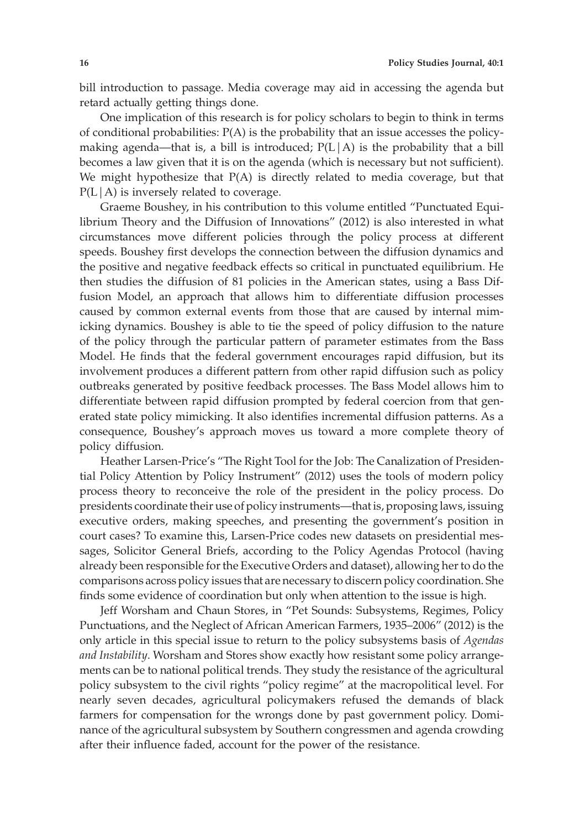bill introduction to passage. Media coverage may aid in accessing the agenda but retard actually getting things done.

One implication of this research is for policy scholars to begin to think in terms of conditional probabilities: P(A) is the probability that an issue accesses the policymaking agenda—that is, a bill is introduced;  $P(L|A)$  is the probability that a bill becomes a law given that it is on the agenda (which is necessary but not sufficient). We might hypothesize that  $P(A)$  is directly related to media coverage, but that  $P(L|A)$  is inversely related to coverage.

Graeme Boushey, in his contribution to this volume entitled "Punctuated Equilibrium Theory and the Diffusion of Innovations" (2012) is also interested in what circumstances move different policies through the policy process at different speeds. Boushey first develops the connection between the diffusion dynamics and the positive and negative feedback effects so critical in punctuated equilibrium. He then studies the diffusion of 81 policies in the American states, using a Bass Diffusion Model, an approach that allows him to differentiate diffusion processes caused by common external events from those that are caused by internal mimicking dynamics. Boushey is able to tie the speed of policy diffusion to the nature of the policy through the particular pattern of parameter estimates from the Bass Model. He finds that the federal government encourages rapid diffusion, but its involvement produces a different pattern from other rapid diffusion such as policy outbreaks generated by positive feedback processes. The Bass Model allows him to differentiate between rapid diffusion prompted by federal coercion from that generated state policy mimicking. It also identifies incremental diffusion patterns. As a consequence, Boushey's approach moves us toward a more complete theory of policy diffusion.

Heather Larsen-Price's "The Right Tool for the Job: The Canalization of Presidential Policy Attention by Policy Instrument" (2012) uses the tools of modern policy process theory to reconceive the role of the president in the policy process. Do presidents coordinate their use of policy instruments—that is, proposing laws, issuing executive orders, making speeches, and presenting the government's position in court cases? To examine this, Larsen-Price codes new datasets on presidential messages, Solicitor General Briefs, according to the Policy Agendas Protocol (having already been responsible for the Executive Orders and dataset), allowing her to do the comparisons across policy issues that are necessary to discern policy coordination. She finds some evidence of coordination but only when attention to the issue is high.

Jeff Worsham and Chaun Stores, in "Pet Sounds: Subsystems, Regimes, Policy Punctuations, and the Neglect of African American Farmers, 1935–2006" (2012) is the only article in this special issue to return to the policy subsystems basis of *Agendas and Instability*. Worsham and Stores show exactly how resistant some policy arrangements can be to national political trends. They study the resistance of the agricultural policy subsystem to the civil rights "policy regime" at the macropolitical level. For nearly seven decades, agricultural policymakers refused the demands of black farmers for compensation for the wrongs done by past government policy. Dominance of the agricultural subsystem by Southern congressmen and agenda crowding after their influence faded, account for the power of the resistance.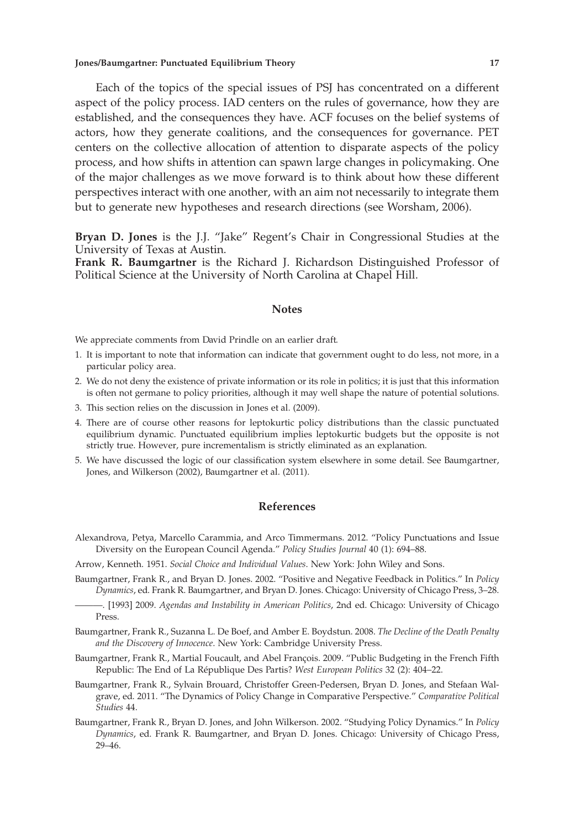Each of the topics of the special issues of PSJ has concentrated on a different aspect of the policy process. IAD centers on the rules of governance, how they are established, and the consequences they have. ACF focuses on the belief systems of actors, how they generate coalitions, and the consequences for governance. PET centers on the collective allocation of attention to disparate aspects of the policy process, and how shifts in attention can spawn large changes in policymaking. One of the major challenges as we move forward is to think about how these different perspectives interact with one another, with an aim not necessarily to integrate them but to generate new hypotheses and research directions (see Worsham, 2006).

**Bryan D. Jones** is the J.J. "Jake" Regent's Chair in Congressional Studies at the University of Texas at Austin.

**Frank R. Baumgartner** is the Richard J. Richardson Distinguished Professor of Political Science at the University of North Carolina at Chapel Hill.

#### **Notes**

We appreciate comments from David Prindle on an earlier draft.

- 1. It is important to note that information can indicate that government ought to do less, not more, in a particular policy area.
- 2. We do not deny the existence of private information or its role in politics; it is just that this information is often not germane to policy priorities, although it may well shape the nature of potential solutions.
- 3. This section relies on the discussion in Jones et al. (2009).
- 4. There are of course other reasons for leptokurtic policy distributions than the classic punctuated equilibrium dynamic. Punctuated equilibrium implies leptokurtic budgets but the opposite is not strictly true. However, pure incrementalism is strictly eliminated as an explanation.
- 5. We have discussed the logic of our classification system elsewhere in some detail. See Baumgartner, Jones, and Wilkerson (2002), Baumgartner et al. (2011).

### **References**

- Alexandrova, Petya, Marcello Carammia, and Arco Timmermans. 2012. "Policy Punctuations and Issue Diversity on the European Council Agenda." *Policy Studies Journal* 40 (1): 694–88.
- Arrow, Kenneth. 1951. *Social Choice and Individual Values*. New York: John Wiley and Sons.
- Baumgartner, Frank R., and Bryan D. Jones. 2002. "Positive and Negative Feedback in Politics." In *Policy Dynamics*, ed. Frank R. Baumgartner, and Bryan D. Jones. Chicago: University of Chicago Press, 3–28.
- ———. [1993] 2009. *Agendas and Instability in American Politics*, 2nd ed. Chicago: University of Chicago Press.
- Baumgartner, Frank R., Suzanna L. De Boef, and Amber E. Boydstun. 2008. *The Decline of the Death Penalty and the Discovery of Innocence*. New York: Cambridge University Press.
- Baumgartner, Frank R., Martial Foucault, and Abel François. 2009. "Public Budgeting in the French Fifth Republic: The End of La République Des Partis? *West European Politics* 32 (2): 404–22.
- Baumgartner, Frank R., Sylvain Brouard, Christoffer Green-Pedersen, Bryan D. Jones, and Stefaan Walgrave, ed. 2011. "The Dynamics of Policy Change in Comparative Perspective." *Comparative Political Studies* 44.
- Baumgartner, Frank R., Bryan D. Jones, and John Wilkerson. 2002. "Studying Policy Dynamics." In *Policy Dynamics*, ed. Frank R. Baumgartner, and Bryan D. Jones. Chicago: University of Chicago Press, 29–46.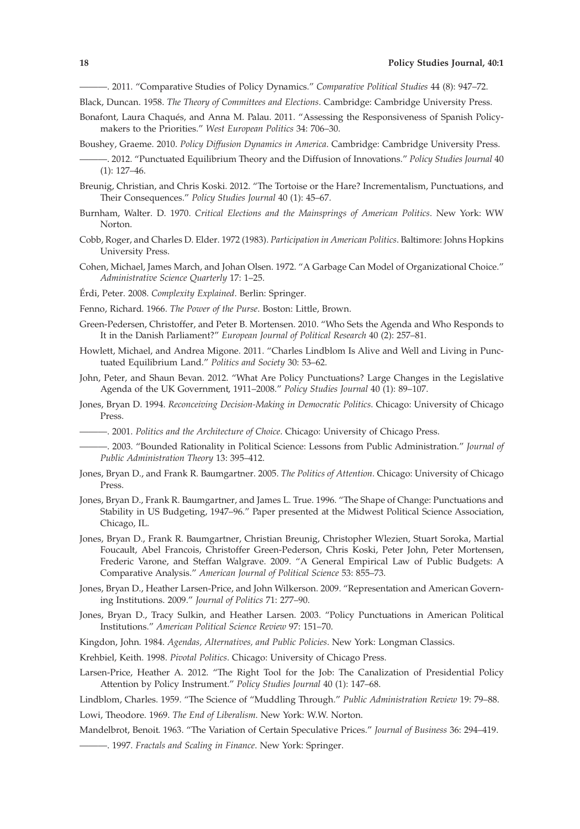———. 2011. "Comparative Studies of Policy Dynamics." *Comparative Political Studies* 44 (8): 947–72.

Black, Duncan. 1958. *The Theory of Committees and Elections*. Cambridge: Cambridge University Press.

Bonafont, Laura Chaqués, and Anna M. Palau. 2011. "Assessing the Responsiveness of Spanish Policymakers to the Priorities." *West European Politics* 34: 706–30.

Boushey, Graeme. 2010. *Policy Diffusion Dynamics in America*. Cambridge: Cambridge University Press.

- ———. 2012. "Punctuated Equilibrium Theory and the Diffusion of Innovations." *Policy Studies Journal* 40 (1): 127–46.
- Breunig, Christian, and Chris Koski. 2012. "The Tortoise or the Hare? Incrementalism, Punctuations, and Their Consequences." *Policy Studies Journal* 40 (1): 45–67.
- Burnham, Walter. D. 1970. *Critical Elections and the Mainsprings of American Politics*. New York: WW Norton.
- Cobb, Roger, and Charles D. Elder. 1972 (1983). *Participation in American Politics*. Baltimore: Johns Hopkins University Press.
- Cohen, Michael, James March, and Johan Olsen. 1972. "A Garbage Can Model of Organizational Choice." *Administrative Science Quarterly* 17: 1–25.
- Érdi, Peter. 2008. *Complexity Explained*. Berlin: Springer.
- Fenno, Richard. 1966. *The Power of the Purse*. Boston: Little, Brown.
- Green-Pedersen, Christoffer, and Peter B. Mortensen. 2010. "Who Sets the Agenda and Who Responds to It in the Danish Parliament?" *European Journal of Political Research* 40 (2): 257–81.
- Howlett, Michael, and Andrea Migone. 2011. "Charles Lindblom Is Alive and Well and Living in Punctuated Equilibrium Land." *Politics and Society* 30: 53–62.
- John, Peter, and Shaun Bevan. 2012. "What Are Policy Punctuations? Large Changes in the Legislative Agenda of the UK Government, 1911–2008." *Policy Studies Journal* 40 (1): 89–107.
- Jones, Bryan D. 1994. *Reconceiving Decision-Making in Democratic Politics*. Chicago: University of Chicago Press.
- ———. 2001. *Politics and the Architecture of Choice*. Chicago: University of Chicago Press.
- ———. 2003. "Bounded Rationality in Political Science: Lessons from Public Administration." *Journal of Public Administration Theory* 13: 395–412.
- Jones, Bryan D., and Frank R. Baumgartner. 2005. *The Politics of Attention*. Chicago: University of Chicago Press.
- Jones, Bryan D., Frank R. Baumgartner, and James L. True. 1996. "The Shape of Change: Punctuations and Stability in US Budgeting, 1947–96." Paper presented at the Midwest Political Science Association, Chicago, IL.
- Jones, Bryan D., Frank R. Baumgartner, Christian Breunig, Christopher Wlezien, Stuart Soroka, Martial Foucault, Abel Francois, Christoffer Green-Pederson, Chris Koski, Peter John, Peter Mortensen, Frederic Varone, and Steffan Walgrave. 2009. "A General Empirical Law of Public Budgets: A Comparative Analysis." *American Journal of Political Science* 53: 855–73.
- Jones, Bryan D., Heather Larsen-Price, and John Wilkerson. 2009. "Representation and American Governing Institutions. 2009." *Journal of Politics* 71: 277–90.
- Jones, Bryan D., Tracy Sulkin, and Heather Larsen. 2003. "Policy Punctuations in American Political Institutions." *American Political Science Review* 97: 151–70.

Kingdon, John. 1984. *Agendas, Alternatives, and Public Policies*. New York: Longman Classics.

- Krehbiel, Keith. 1998. *Pivotal Politics*. Chicago: University of Chicago Press.
- Larsen-Price, Heather A. 2012. "The Right Tool for the Job: The Canalization of Presidential Policy Attention by Policy Instrument." *Policy Studies Journal* 40 (1): 147–68.

Lindblom, Charles. 1959. "The Science of "Muddling Through." *Public Administration Review* 19: 79–88.

Lowi, Theodore. 1969. *The End of Liberalism*. New York: W.W. Norton.

Mandelbrot, Benoit. 1963. "The Variation of Certain Speculative Prices." *Journal of Business* 36: 294–419.

———. 1997. *Fractals and Scaling in Finance*. New York: Springer.